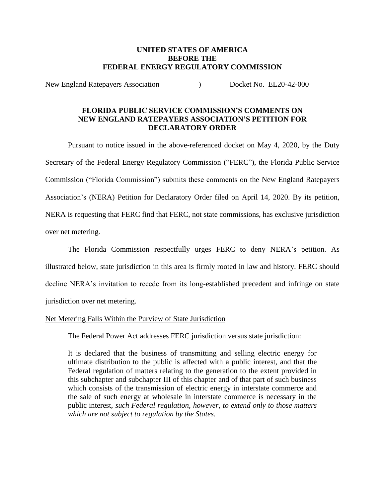### **UNITED STATES OF AMERICA BEFORE THE FEDERAL ENERGY REGULATORY COMMISSION**

New England Ratepayers Association (a) Docket No. EL20-42-000

### **FLORIDA PUBLIC SERVICE COMMISSION'S COMMENTS ON NEW ENGLAND RATEPAYERS ASSOCIATION'S PETITION FOR DECLARATORY ORDER**

Pursuant to notice issued in the above-referenced docket on May 4, 2020, by the Duty Secretary of the Federal Energy Regulatory Commission ("FERC"), the Florida Public Service Commission ("Florida Commission") submits these comments on the New England Ratepayers Association's (NERA) Petition for Declaratory Order filed on April 14, 2020. By its petition, NERA is requesting that FERC find that FERC, not state commissions, has exclusive jurisdiction over net metering.

The Florida Commission respectfully urges FERC to deny NERA's petition. As illustrated below, state jurisdiction in this area is firmly rooted in law and history. FERC should decline NERA's invitation to recede from its long-established precedent and infringe on state jurisdiction over net metering.

### Net Metering Falls Within the Purview of State Jurisdiction

The Federal Power Act addresses FERC jurisdiction versus state jurisdiction:

It is declared that the business of transmitting and selling electric energy for ultimate distribution to the public is affected with a public interest, and that the Federal regulation of matters relating to the generation to the extent provided in this subchapter and subchapter III of this chapter and of that part of such business which consists of the transmission of electric energy in interstate commerce and the sale of such energy at wholesale in interstate commerce is necessary in the public interest, *such Federal regulation, however, to extend only to those matters which are not subject to regulation by the States*.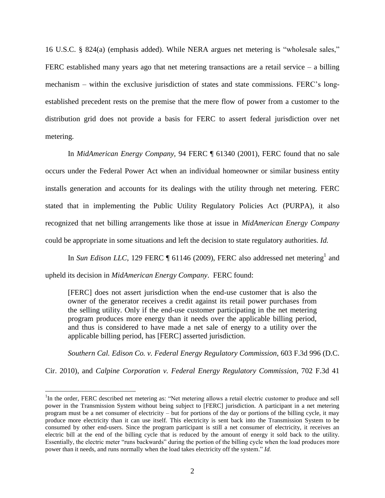16 U.S.C. § 824(a) (emphasis added). While NERA argues net metering is "wholesale sales," FERC established many years ago that net metering transactions are a retail service – a billing mechanism – within the exclusive jurisdiction of states and state commissions. FERC's longestablished precedent rests on the premise that the mere flow of power from a customer to the distribution grid does not provide a basis for FERC to assert federal jurisdiction over net metering.

In *MidAmerican Energy Company,* 94 FERC ¶ 61340 (2001), FERC found that no sale occurs under the Federal Power Act when an individual homeowner or similar business entity installs generation and accounts for its dealings with the utility through net metering. FERC stated that in implementing the Public Utility Regulatory Policies Act (PURPA), it also recognized that net billing arrangements like those at issue in *MidAmerican Energy Company* could be appropriate in some situations and left the decision to state regulatory authorities. *Id.*

In *Sun Edison LLC*, 129 FERC  $\parallel$  61146 (2009), FERC also addressed net metering<sup>1</sup> and upheld its decision in *MidAmerican Energy Company*. FERC found:

[FERC] does not assert jurisdiction when the end-use customer that is also the owner of the generator receives a credit against its retail power purchases from the selling utility. Only if the end-use customer participating in the net metering program produces more energy than it needs over the applicable billing period, and thus is considered to have made a net sale of energy to a utility over the applicable billing period, has [FERC] asserted jurisdiction.

*Southern Cal. Edison Co. v. Federal Energy Regulatory Commission*, 603 F.3d 996 (D.C.

Cir. 2010), and *Calpine Corporation v. Federal Energy Regulatory Commission*, 702 F.3d 41

 $\overline{a}$ 

<sup>&</sup>lt;sup>1</sup>In the order, FERC described net metering as: "Net metering allows a retail electric customer to produce and sell power in the Transmission System without being subject to [FERC] jurisdiction. A participant in a net metering program must be a net consumer of electricity – but for portions of the day or portions of the billing cycle, it may produce more electricity than it can use itself. This electricity is sent back into the Transmission System to be consumed by other end-users. Since the program participant is still a net consumer of electricity, it receives an electric bill at the end of the billing cycle that is reduced by the amount of energy it sold back to the utility. Essentially, the electric meter "runs backwards" during the portion of the billing cycle when the load produces more power than it needs, and runs normally when the load takes electricity off the system." *Id.*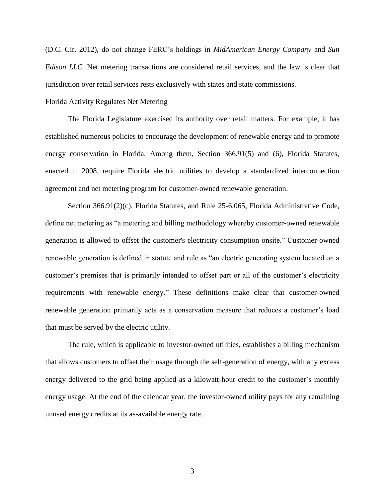(D.C. Cir. 2012), do not change FERC's holdings in *MidAmerican Energy Company* and *Sun Edison LLC.* Net metering transactions are considered retail services, and the law is clear that jurisdiction over retail services rests exclusively with states and state commissions.

#### Florida Activity Regulates Net Metering

The Florida Legislature exercised its authority over retail matters. For example, it has established numerous policies to encourage the development of renewable energy and to promote energy conservation in Florida. Among them, Section 366.91(5) and (6), Florida Statutes, enacted in 2008, require Florida electric utilities to develop a standardized interconnection agreement and net metering program for customer-owned renewable generation.

Section 366.91(2)(c), Florida Statutes, and Rule 25-6.065, Florida Administrative Code, define net metering as "a metering and billing methodology whereby customer-owned renewable generation is allowed to offset the customer's electricity consumption onsite." Customer-owned renewable generation is defined in statute and rule as "an electric generating system located on a customer's premises that is primarily intended to offset part or all of the customer's electricity requirements with renewable energy." These definitions make clear that customer-owned renewable generation primarily acts as a conservation measure that reduces a customer's load that must be served by the electric utility.

The rule, which is applicable to investor-owned utilities, establishes a billing mechanism that allows customers to offset their usage through the self-generation of energy, with any excess energy delivered to the grid being applied as a kilowatt-hour credit to the customer's monthly energy usage. At the end of the calendar year, the investor-owned utility pays for any remaining unused energy credits at its as-available energy rate.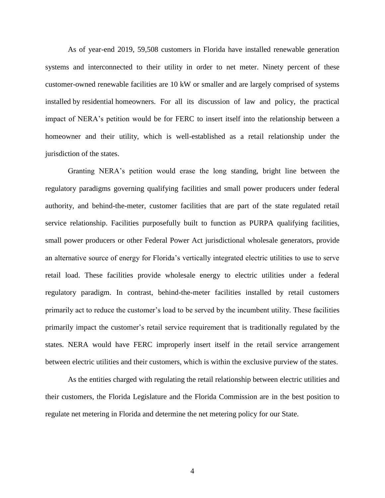As of year-end 2019, 59,508 customers in Florida have installed renewable generation systems and interconnected to their utility in order to net meter. Ninety percent of these customer-owned renewable facilities are 10 kW or smaller and are largely comprised of systems installed by residential homeowners. For all its discussion of law and policy, the practical impact of NERA's petition would be for FERC to insert itself into the relationship between a homeowner and their utility, which is well-established as a retail relationship under the jurisdiction of the states.

Granting NERA's petition would erase the long standing, bright line between the regulatory paradigms governing qualifying facilities and small power producers under federal authority, and behind-the-meter, customer facilities that are part of the state regulated retail service relationship. Facilities purposefully built to function as PURPA qualifying facilities, small power producers or other Federal Power Act jurisdictional wholesale generators, provide an alternative source of energy for Florida's vertically integrated electric utilities to use to serve retail load. These facilities provide wholesale energy to electric utilities under a federal regulatory paradigm. In contrast, behind-the-meter facilities installed by retail customers primarily act to reduce the customer's load to be served by the incumbent utility. These facilities primarily impact the customer's retail service requirement that is traditionally regulated by the states. NERA would have FERC improperly insert itself in the retail service arrangement between electric utilities and their customers, which is within the exclusive purview of the states.

As the entities charged with regulating the retail relationship between electric utilities and their customers, the Florida Legislature and the Florida Commission are in the best position to regulate net metering in Florida and determine the net metering policy for our State.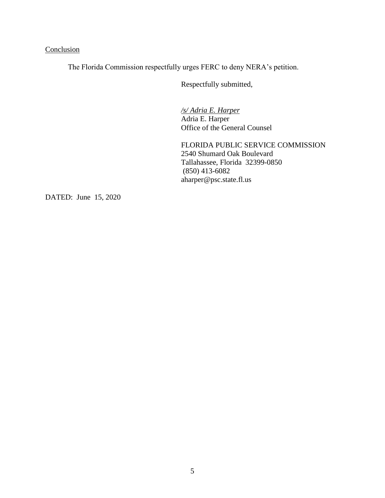# **Conclusion**

The Florida Commission respectfully urges FERC to deny NERA's petition.

Respectfully submitted,

*/s/ Adria E. Harper* Adria E. Harper Office of the General Counsel

FLORIDA PUBLIC SERVICE COMMISSION 2540 Shumard Oak Boulevard Tallahassee, Florida 32399-0850 (850) 413-6082 aharper@psc.state.fl.us

DATED: June 15, 2020